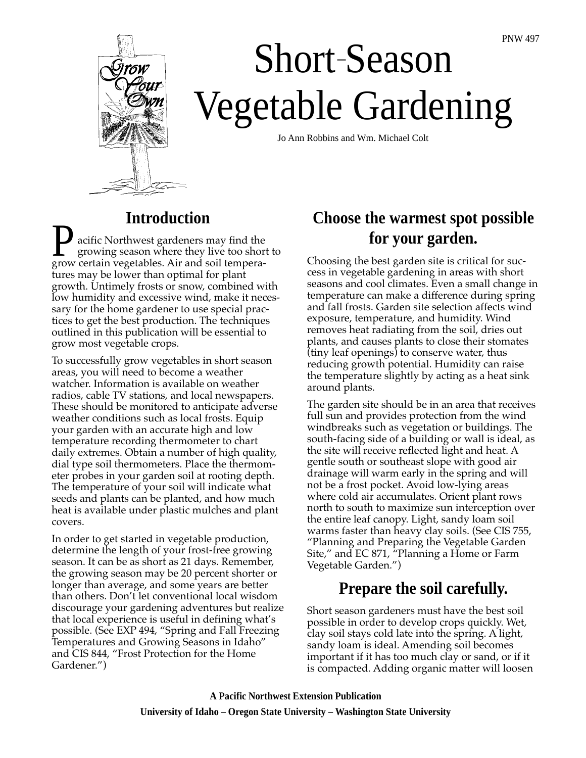

# Short-Season Vegetable Gardening –

Jo Ann Robbins and Wm. Michael Colt

#### **Introduction**

acific Northwest gardeners may find the growing season where they live too short to grow certain vegetables. Air and soil temperatures may be lower than optimal for plant growth. Untimely frosts or snow, combined with low humidity and excessive wind, make it necessary for the home gardener to use special practices to get the best production. The techniques outlined in this publication will be essential to grow most vegetable crops.

To successfully grow vegetables in short season areas, you will need to become a weather watcher. Information is available on weather radios, cable TV stations, and local newspapers. These should be monitored to anticipate adverse weather conditions such as local frosts. Equip your garden with an accurate high and low temperature recording thermometer to chart daily extremes. Obtain a number of high quality, dial type soil thermometers. Place the thermometer probes in your garden soil at rooting depth. The temperature of your soil will indicate what seeds and plants can be planted, and how much heat is available under plastic mulches and plant covers.

In order to get started in vegetable production, determine the length of your frost-free growing season. It can be as short as 21 days. Remember, the growing season may be 20 percent shorter or longer than average, and some years are better than others. Don't let conventional local wisdom discourage your gardening adventures but realize that local experience is useful in defining what's possible. (See EXP 494, "Spring and Fall Freezing Temperatures and Growing Seasons in Idaho" and CIS 844, "Frost Protection for the Home Gardener.")

# **Choose the warmest spot possible for your garden.**

Choosing the best garden site is critical for success in vegetable gardening in areas with short seasons and cool climates. Even a small change in temperature can make a difference during spring and fall frosts. Garden site selection affects wind exposure, temperature, and humidity. Wind removes heat radiating from the soil, dries out plants, and causes plants to close their stomates (tiny leaf openings) to conserve water, thus reducing growth potential. Humidity can raise the temperature slightly by acting as a heat sink around plants.

The garden site should be in an area that receives full sun and provides protection from the wind windbreaks such as vegetation or buildings. The south-facing side of a building or wall is ideal, as the site will receive reflected light and heat. A gentle south or southeast slope with good air drainage will warm early in the spring and will not be a frost pocket. Avoid low-lying areas where cold air accumulates. Orient plant rows north to south to maximize sun interception over the entire leaf canopy. Light, sandy loam soil warms faster than heavy clay soils. (See CIS 755, "Planning and Preparing the Vegetable Garden Site," and EC 871, "Planning a Home or Farm Vegetable Garden.")

# **Prepare the soil carefully.**

Short season gardeners must have the best soil possible in order to develop crops quickly. Wet, clay soil stays cold late into the spring. A light, sandy loam is ideal. Amending soil becomes important if it has too much clay or sand, or if it is compacted. Adding organic matter will loosen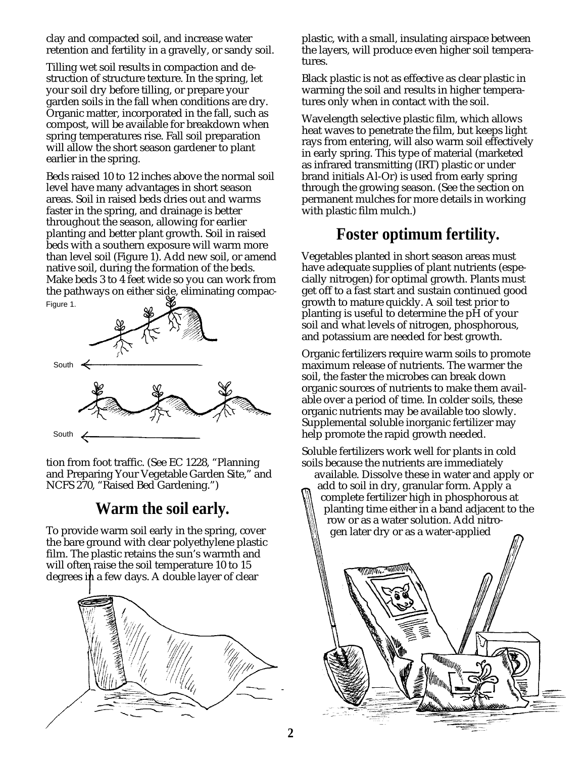clay and compacted soil, and increase water retention and fertility in a gravelly, or sandy soil.

Tilling wet soil results in compaction and destruction of structure texture. In the spring, let your soil dry before tilling, or prepare your garden soils in the fall when conditions are dry. Organic matter, incorporated in the fall, such as compost, will be available for breakdown when spring temperatures rise. Fall soil preparation will allow the short season gardener to plant earlier in the spring.

Beds raised 10 to 12 inches above the normal soil level have many advantages in short season areas. Soil in raised beds dries out and warms faster in the spring, and drainage is better throughout the season, allowing for earlier planting and better plant growth. Soil in raised beds with a southern exposure will warm more than level soil (Figure 1). Add new soil, or amend native soil, during the formation of the beds. Make beds 3 to 4 feet wide so you can work from the pathways on either side, eliminating compac-Figure 1.



tion from foot traffic. (See EC 1228, "Planning and Preparing Your Vegetable Garden Site," and NCFS 270, "Raised Bed Gardening.")

#### **Warm the soil early.**

To provide warm soil early in the spring, cover the bare ground with clear polyethylene plastic film. The plastic retains the sun's warmth and will often raise the soil temperature 10 to 15 degrees in a few days. A double layer of clear



plastic, with a small, insulating airspace between the layers, will produce even higher soil temperatures.

Black plastic is not as effective as clear plastic in warming the soil and results in higher temperatures only when in contact with the soil.

Wavelength selective plastic film, which allows heat waves to penetrate the film, but keeps light rays from entering, will also warm soil effectively in early spring. This type of material (marketed as infrared transmitting (IRT) plastic or under brand initials Al-Or) is used from early spring through the growing season. (See the section on permanent mulches for more details in working with plastic film mulch.)

#### **Foster optimum fertility.**

Vegetables planted in short season areas must have adequate supplies of plant nutrients (especially nitrogen) for optimal growth. Plants must get off to a fast start and sustain continued good growth to mature quickly. A soil test prior to planting is useful to determine the pH of your soil and what levels of nitrogen, phosphorous, and potassium are needed for best growth.

Organic fertilizers require warm soils to promote maximum release of nutrients. The warmer the soil, the faster the microbes can break down organic sources of nutrients to make them available over a period of time. In colder soils, these organic nutrients may be available too slowly. Supplemental soluble inorganic fertilizer may help promote the rapid growth needed.

Soluble fertilizers work well for plants in cold soils because the nutrients are immediately

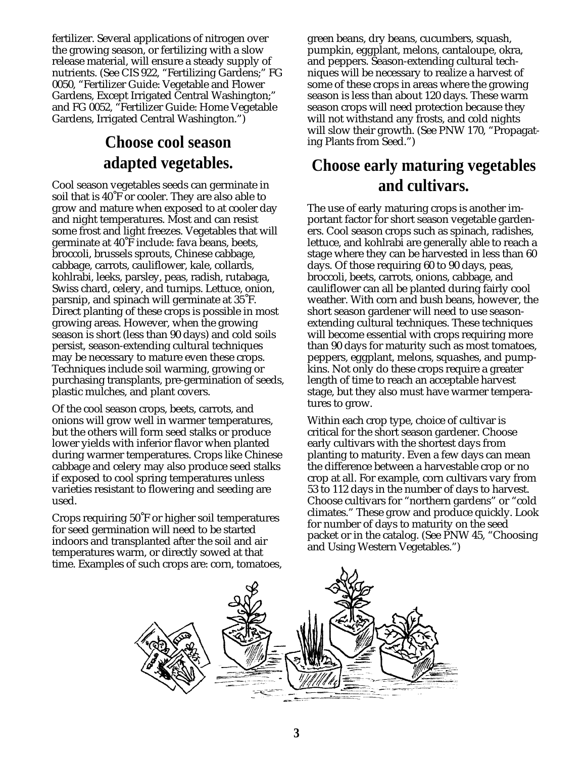fertilizer. Several applications of nitrogen over the growing season, or fertilizing with a slow release material, will ensure a steady supply of nutrients. (See CIS 922, "Fertilizing Gardens;" FG 0050, "Fertilizer Guide: Vegetable and Flower Gardens, Except Irrigated Central Washington;" and FG 0052, "Fertilizer Guide: Home Vegetable Gardens, Irrigated Central Washington.")

# **Choose cool season adapted vegetables.**

Cool season vegetables seeds can germinate in soil that is 40˚F or cooler. They are also able to grow and mature when exposed to at cooler day and night temperatures. Most and can resist some frost and light freezes. Vegetables that will germinate at 40˚F include: fava beans, beets, broccoli, brussels sprouts, Chinese cabbage, cabbage, carrots, cauliflower, kale, collards, kohlrabi, leeks, parsley, peas, radish, rutabaga, Swiss chard, celery, and turnips. Lettuce, onion, parsnip, and spinach will germinate at 35˚F. Direct planting of these crops is possible in most growing areas. However, when the growing season is short (less than 90 days) and cold soils persist, season-extending cultural techniques may be necessary to mature even these crops. Techniques include soil warming, growing or purchasing transplants, pre-germination of seeds, plastic mulches, and plant covers.

Of the cool season crops, beets, carrots, and onions will grow well in warmer temperatures, but the others will form seed stalks or produce lower yields with inferior flavor when planted during warmer temperatures. Crops like Chinese cabbage and celery may also produce seed stalks if exposed to cool spring temperatures unless varieties resistant to flowering and seeding are used.

Crops requiring 50˚F or higher soil temperatures for seed germination will need to be started indoors and transplanted after the soil and air temperatures warm, or directly sowed at that time. Examples of such crops are: corn, tomatoes, green beans, dry beans, cucumbers, squash, pumpkin, eggplant, melons, cantaloupe, okra, and peppers. Season-extending cultural techniques will be necessary to realize a harvest of some of these crops in areas where the growing season is less than about 120 days. These warm season crops will need protection because they will not withstand any frosts, and cold nights will slow their growth. (See PNW 170, "Propagating Plants from Seed.")

#### **Choose early maturing vegetables and cultivars.**

The use of early maturing crops is another important factor for short season vegetable gardeners. Cool season crops such as spinach, radishes, lettuce, and kohlrabi are generally able to reach a stage where they can be harvested in less than 60 days. Of those requiring 60 to 90 days, peas, broccoli, beets, carrots, onions, cabbage, and cauliflower can all be planted during fairly cool weather. With corn and bush beans, however, the short season gardener will need to use seasonextending cultural techniques. These techniques will become essential with crops requiring more than 90 days for maturity such as most tomatoes, peppers, eggplant, melons, squashes, and pumpkins. Not only do these crops require a greater length of time to reach an acceptable harvest stage, but they also must have warmer temperatures to grow.

Within each crop type, choice of cultivar is critical for the short season gardener. Choose early cultivars with the shortest days from planting to maturity. Even a few days can mean the difference between a harvestable crop or no crop at all. For example, corn cultivars vary from 53 to 112 days in the number of days to harvest. Choose cultivars for "northern gardens" or "cold climates." These grow and produce quickly. Look for number of days to maturity on the seed packet or in the catalog. (See PNW 45, "Choosing and Using Western Vegetables.")

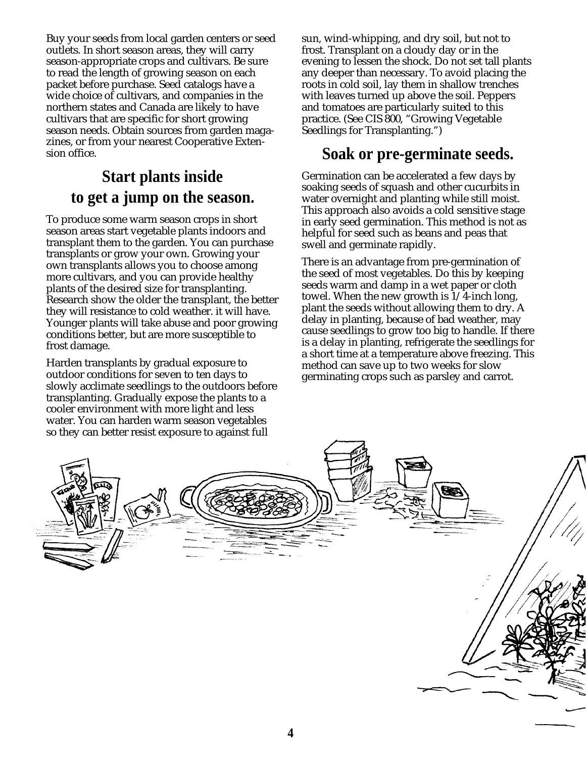Buy your seeds from local garden centers or seed outlets. In short season areas, they will carry season-appropriate crops and cultivars. Be sure to read the length of growing season on each packet before purchase. Seed catalogs have a wide choice of cultivars, and companies in the northern states and Canada are likely to have cultivars that are specific for short growing season needs. Obtain sources from garden magazines, or from your nearest Cooperative Extension office.

# **Start plants inside to get a jump on the season.**

To produce some warm season crops in short season areas start vegetable plants indoors and transplant them to the garden. You can purchase transplants or grow your own. Growing your own transplants allows you to choose among more cultivars, and you can provide healthy plants of the desired size for transplanting. Research show the older the transplant, the better they will resistance to cold weather. it will have. Younger plants will take abuse and poor growing conditions better, but are more susceptible to frost damage.

Harden transplants by gradual exposure to outdoor conditions for seven to ten days to slowly acclimate seedlings to the outdoors before transplanting. Gradually expose the plants to a cooler environment with more light and less water. You can harden warm season vegetables so they can better resist exposure to against full

sun, wind-whipping, and dry soil, but not to frost. Transplant on a cloudy day or in the evening to lessen the shock. Do not set tall plants any deeper than necessary. To avoid placing the roots in cold soil, lay them in shallow trenches with leaves turned up above the soil. Peppers and tomatoes are particularly suited to this practice. (See CIS 800, "Growing Vegetable Seedlings for Transplanting.")

#### **Soak or pre-germinate seeds.**

Germination can be accelerated a few days by soaking seeds of squash and other cucurbits in water overnight and planting while still moist. This approach also avoids a cold sensitive stage in early seed germination. This method is not as helpful for seed such as beans and peas that swell and germinate rapidly.

There is an advantage from pre-germination of the seed of most vegetables. Do this by keeping seeds warm and damp in a wet paper or cloth towel. When the new growth is 1/4-inch long, plant the seeds without allowing them to dry. A delay in planting, because of bad weather, may cause seedlings to grow too big to handle. If there is a delay in planting, refrigerate the seedlings for a short time at a temperature above freezing. This method can save up to two weeks for slow germinating crops such as parsley and carrot.

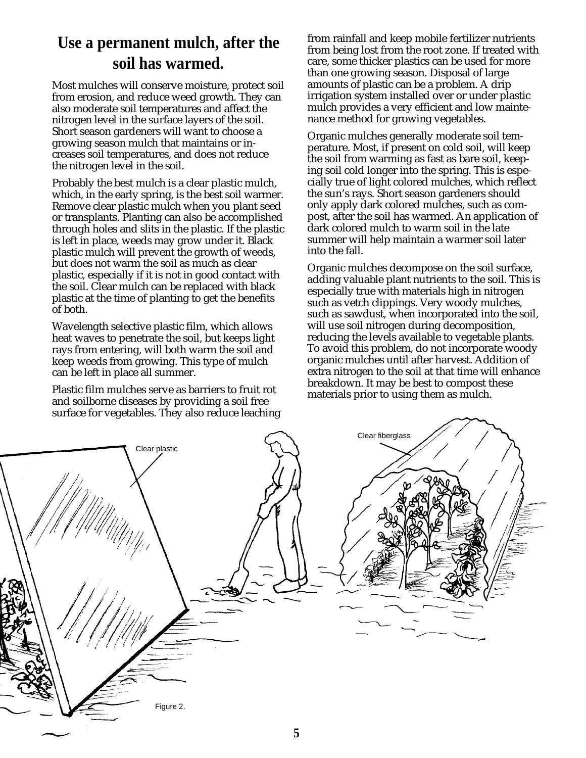#### **Use a permanent mulch, after the soil has warmed.**

Most mulches will conserve moisture, protect soil from erosion, and reduce weed growth. They can also moderate soil temperatures and affect the nitrogen level in the surface layers of the soil. Short season gardeners will want to choose a growing season mulch that maintains or increases soil temperatures, and does not reduce the nitrogen level in the soil.

Probably the best mulch is a clear plastic mulch, which, in the early spring, is the best soil warmer. Remove clear plastic mulch when you plant seed or transplants. Planting can also be accomplished through holes and slits in the plastic. If the plastic is left in place, weeds may grow under it. Black plastic mulch will prevent the growth of weeds, but does not warm the soil as much as clear plastic, especially if it is not in good contact with the soil. Clear mulch can be replaced with black plastic at the time of planting to get the benefits of both.

Wavelength selective plastic film, which allows heat waves to penetrate the soil, but keeps light rays from entering, will both warm the soil and keep weeds from growing. This type of mulch can be left in place all summer.

Plastic film mulches serve as barriers to fruit rot and soilborne diseases by providing a soil free surface for vegetables. They also reduce leaching from rainfall and keep mobile fertilizer nutrients from being lost from the root zone. If treated with care, some thicker plastics can be used for more than one growing season. Disposal of large amounts of plastic can be a problem. A drip irrigation system installed over or under plastic mulch provides a very efficient and low maintenance method for growing vegetables.

Organic mulches generally moderate soil temperature. Most, if present on cold soil, will keep the soil from warming as fast as bare soil, keeping soil cold longer into the spring. This is especially true of light colored mulches, which reflect the sun's rays. Short season gardeners should only apply dark colored mulches, such as compost, after the soil has warmed. An application of dark colored mulch to warm soil in the late summer will help maintain a warmer soil later into the fall.

Organic mulches decompose on the soil surface, adding valuable plant nutrients to the soil. This is especially true with materials high in nitrogen such as vetch clippings. Very woody mulches, such as sawdust, when incorporated into the soil, will use soil nitrogen during decomposition, reducing the levels available to vegetable plants. To avoid this problem, do not incorporate woody organic mulches until after harvest. Addition of extra nitrogen to the soil at that time will enhance breakdown. It may be best to compost these materials prior to using them as mulch.

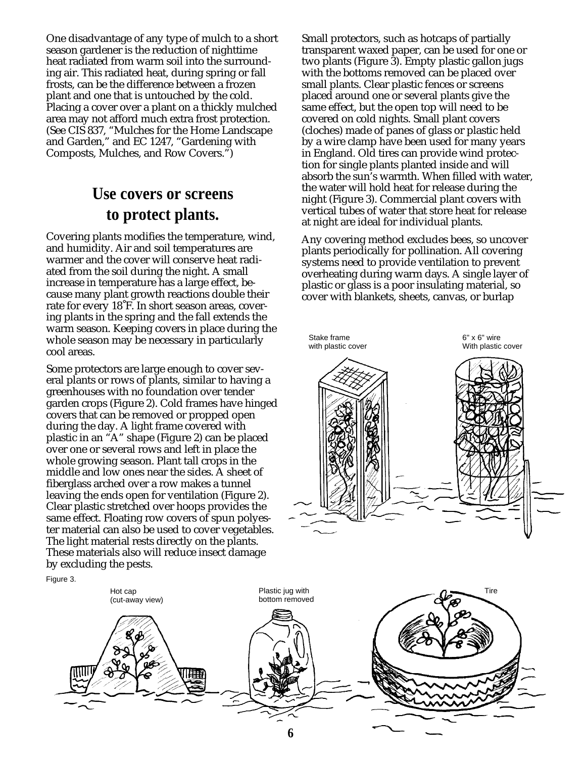One disadvantage of any type of mulch to a short season gardener is the reduction of nighttime heat radiated from warm soil into the surrounding air. This radiated heat, during spring or fall frosts, can be the difference between a frozen plant and one that is untouched by the cold. Placing a cover over a plant on a thickly mulched area may not afford much extra frost protection. (See CIS 837, "Mulches for the Home Landscape and Garden," and EC 1247, "Gardening with Composts, Mulches, and Row Covers.")

#### **Use covers or screens to protect plants.**

Covering plants modifies the temperature, wind, and humidity. Air and soil temperatures are warmer and the cover will conserve heat radiated from the soil during the night. A small increase in temperature has a large effect, because many plant growth reactions double their rate for every 18˚F. In short season areas, covering plants in the spring and the fall extends the warm season. Keeping covers in place during the whole season may be necessary in particularly cool areas.

Some protectors are large enough to cover several plants or rows of plants, similar to having a greenhouses with no foundation over tender garden crops (Figure 2). Cold frames have hinged covers that can be removed or propped open during the day. A light frame covered with plastic in an "A" shape (Figure 2) can be placed over one or several rows and left in place the whole growing season. Plant tall crops in the middle and low ones near the sides. A sheet of fiberglass arched over a row makes a tunnel leaving the ends open for ventilation (Figure 2). Clear plastic stretched over hoops provides the same effect. Floating row covers of spun polyester material can also be used to cover vegetables. The light material rests directly on the plants. These materials also will reduce insect damage by excluding the pests.

Small protectors, such as hotcaps of partially transparent waxed paper, can be used for one or two plants (Figure 3). Empty plastic gallon jugs with the bottoms removed can be placed over small plants. Clear plastic fences or screens placed around one or several plants give the same effect, but the open top will need to be covered on cold nights. Small plant covers (cloches) made of panes of glass or plastic held by a wire clamp have been used for many years in England. Old tires can provide wind protection for single plants planted inside and will absorb the sun's warmth. When filled with water, the water will hold heat for release during the night (Figure 3). Commercial plant covers with vertical tubes of water that store heat for release at night are ideal for individual plants.

Any covering method excludes bees, so uncover plants periodically for pollination. All covering systems need to provide ventilation to prevent overheating during warm days. A single layer of plastic or glass is a poor insulating material, so cover with blankets, sheets, canvas, or burlap





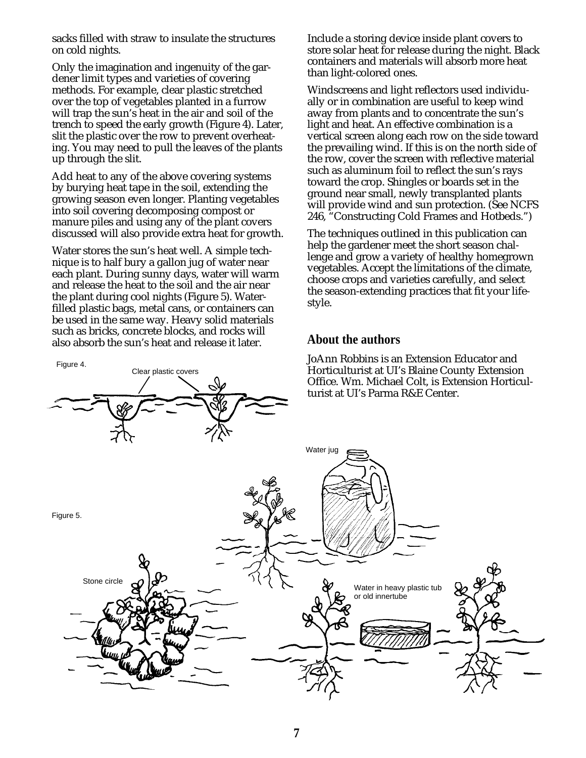sacks filled with straw to insulate the structures on cold nights.

Only the imagination and ingenuity of the gardener limit types and varieties of covering methods. For example, clear plastic stretched over the top of vegetables planted in a furrow will trap the sun's heat in the air and soil of the trench to speed the early growth (Figure 4). Later, slit the plastic over the row to prevent overheating. You may need to pull the leaves of the plants up through the slit.

Add heat to any of the above covering systems by burying heat tape in the soil, extending the growing season even longer. Planting vegetables into soil covering decomposing compost or manure piles and using any of the plant covers discussed will also provide extra heat for growth.

Water stores the sun's heat well. A simple technique is to half bury a gallon jug of water near each plant. During sunny days, water will warm and release the heat to the soil and the air near the plant during cool nights (Figure 5). Waterfilled plastic bags, metal cans, or containers can be used in the same way. Heavy solid materials such as bricks, concrete blocks, and rocks will also absorb the sun's heat and release it later.

Clear plastic covers

Figure 4.

Include a storing device inside plant covers to store solar heat for release during the night. Black containers and materials will absorb more heat than light-colored ones.

Windscreens and light reflectors used individually or in combination are useful to keep wind away from plants and to concentrate the sun's light and heat. An effective combination is a vertical screen along each row on the side toward the prevailing wind. If this is on the north side of the row, cover the screen with reflective material such as aluminum foil to reflect the sun's rays toward the crop. Shingles or boards set in the ground near small, newly transplanted plants will provide wind and sun protection. (See NCFS 246, "Constructing Cold Frames and Hotbeds.")

The techniques outlined in this publication can help the gardener meet the short season challenge and grow a variety of healthy homegrown vegetables. Accept the limitations of the climate, choose crops and varieties carefully, and select the season-extending practices that fit your lifestyle.

#### **About the authors**

JoAnn Robbins is an Extension Educator and Horticulturist at UI's Blaine County Extension Office. Wm. Michael Colt, is Extension Horticul-